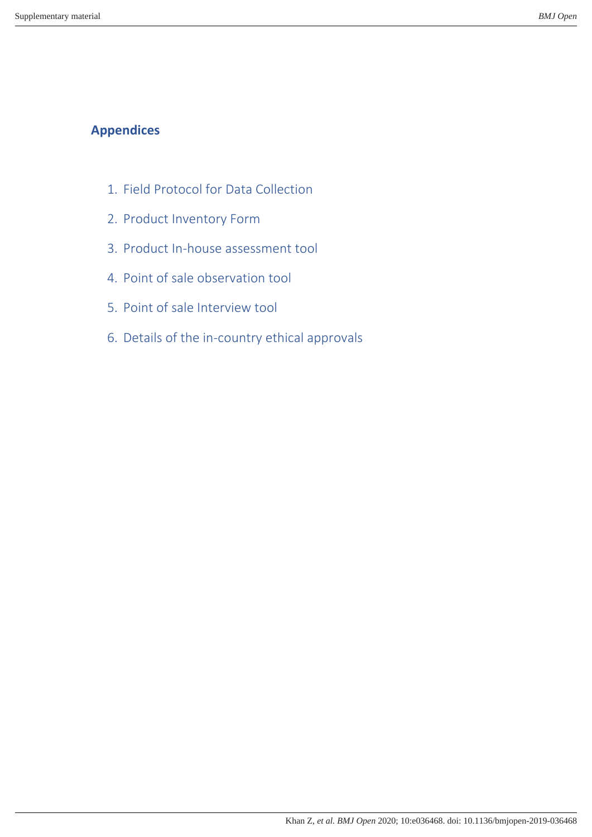# **Appendices**

- 1. Field Protocol for Data Collection
- 2. Product Inventory Form
- 3. Product In-house assessment tool
- 4. Point of sale observation tool
- 5. Point of sale Interview tool
- 6. Details of the in-country ethical approvals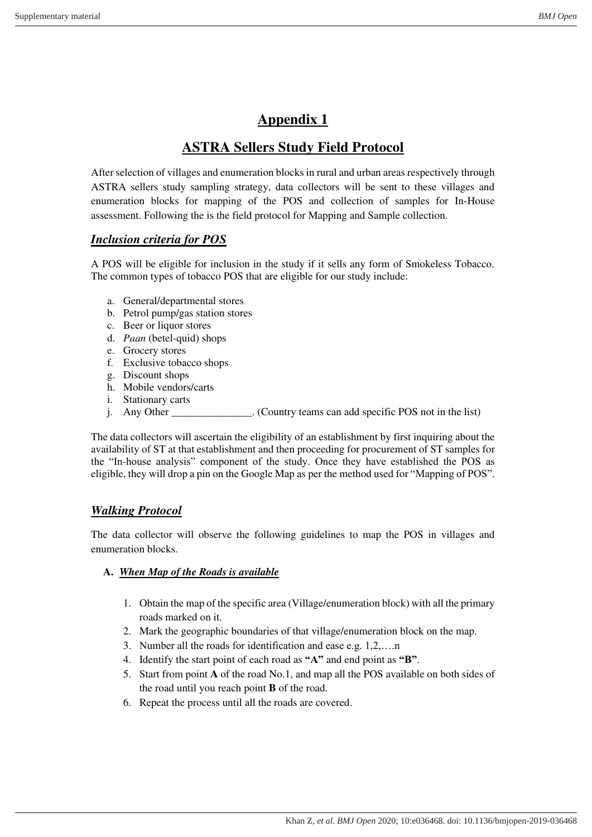# **ASTRA Sellers Study Field Protocol**

After selection of villages and enumeration blocks in rural and urban areas respectively through ASTRA sellers study sampling strategy, data collectors will be sent to these villages and enumeration blocks for mapping of the POS and collection of samples for In-House assessment. Following the is the field protocol for Mapping and Sample collection.

## *Inclusion criteria for POS*

A POS will be eligible for inclusion in the study if it sells any form of Smokeless Tobacco. The common types of tobacco POS that are eligible for our study include:

- a. General/departmental stores
- b. Petrol pump/gas station stores
- c. Beer or liquor stores
- d. *Paan* (betel-quid) shops
- e. Grocery stores
- f. Exclusive tobacco shops
- g. Discount shops
- h. Mobile vendors/carts
- i. Stationary carts
- j. Any Other \_\_\_\_\_\_\_\_\_\_\_\_\_\_\_. (Country teams can add specific POS not in the list)

The data collectors will ascertain the eligibility of an establishment by first inquiring about the availability of ST at that establishment and then proceeding for procurement of ST samples for the "In-house analysis" component of the study. Once they have established the POS as eligible, they will drop a pin on the Google Map as per the method used for "Mapping of POS".

### *Walking Protocol*

The data collector will observe the following guidelines to map the POS in villages and enumeration blocks.

### **A.** *When Map of the Roads is available*

- 1. Obtain the map of the specific area (Village/enumeration block) with all the primary roads marked on it.
- 2. Mark the geographic boundaries of that village/enumeration block on the map.
- 3. Number all the roads for identification and ease e.g. 1,2,….n
- 4. Identify the start point of each road as **"A"** and end point as **"B"**.
- 5. Start from point **A** of the road No.1, and map all the POS available on both sides of the road until you reach point **B** of the road.
- 6. Repeat the process until all the roads are covered.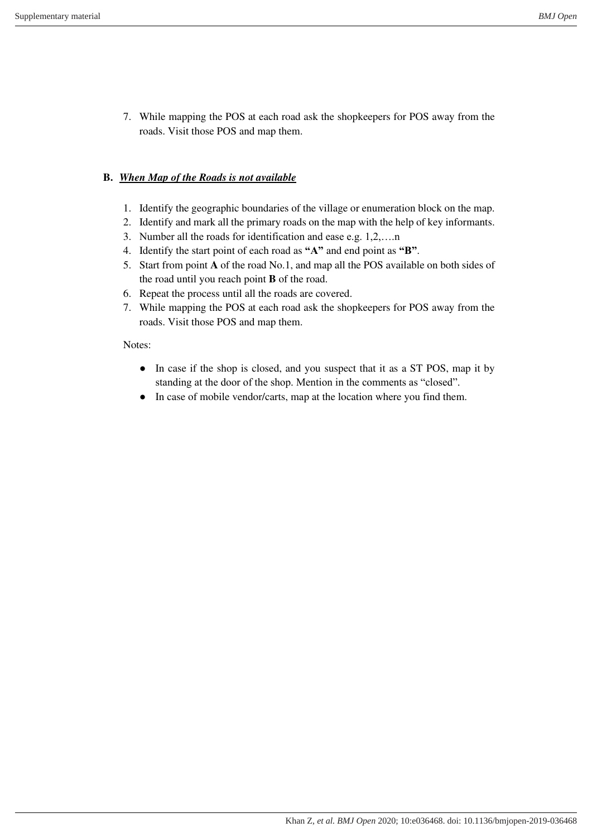7. While mapping the POS at each road ask the shopkeepers for POS away from the roads. Visit those POS and map them.

## **B.** *When Map of the Roads is not available*

- 1. Identify the geographic boundaries of the village or enumeration block on the map.
- 2. Identify and mark all the primary roads on the map with the help of key informants.
- 3. Number all the roads for identification and ease e.g. 1,2,….n
- 4. Identify the start point of each road as **"A"** and end point as **"B"**.
- 5. Start from point **A** of the road No.1, and map all the POS available on both sides of the road until you reach point **B** of the road.
- 6. Repeat the process until all the roads are covered.
- 7. While mapping the POS at each road ask the shopkeepers for POS away from the roads. Visit those POS and map them.

### Notes:

- In case if the shop is closed, and you suspect that it as a ST POS, map it by standing at the door of the shop. Mention in the comments as "closed".
- In case of mobile vendor/carts, map at the location where you find them.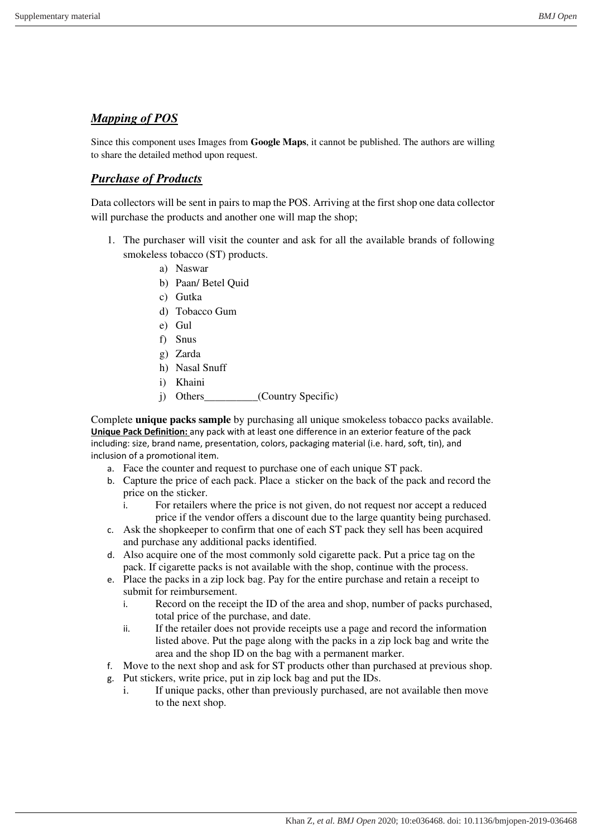### *Mapping of POS*

Since this component uses Images from **Google Maps**, it cannot be published. The authors are willing to share the detailed method upon request.

## *Purchase of Products*

Data collectors will be sent in pairs to map the POS. Arriving at the first shop one data collector will purchase the products and another one will map the shop;

- 1. The purchaser will visit the counter and ask for all the available brands of following smokeless tobacco (ST) products.
	- a) Naswar
	- b) Paan/ Betel Quid
	- c) Gutka
	- d) Tobacco Gum
	- e) Gul
	- f) Snus
	- g) Zarda
	- h) Nasal Snuff
	- i) Khaini
	- j) Others\_\_\_\_\_\_\_\_\_\_(Country Specific)

Complete **unique packs sample** by purchasing all unique smokeless tobacco packs available. **Unique Pack Definition:** any pack with at least one difference in an exterior feature of the pack including: size, brand name, presentation, colors, packaging material (i.e. hard, soft, tin), and inclusion of a promotional item.

- a. Face the counter and request to purchase one of each unique ST pack.
- b. Capture the price of each pack. Place a sticker on the back of the pack and record the price on the sticker.
	- i. For retailers where the price is not given, do not request nor accept a reduced price if the vendor offers a discount due to the large quantity being purchased.
- c. Ask the shopkeeper to confirm that one of each ST pack they sell has been acquired and purchase any additional packs identified.
- d. Also acquire one of the most commonly sold cigarette pack. Put a price tag on the pack. If cigarette packs is not available with the shop, continue with the process.
- e. Place the packs in a zip lock bag. Pay for the entire purchase and retain a receipt to submit for reimbursement.
	- i. Record on the receipt the ID of the area and shop, number of packs purchased, total price of the purchase, and date.
	- ii. If the retailer does not provide receipts use a page and record the information listed above. Put the page along with the packs in a zip lock bag and write the area and the shop ID on the bag with a permanent marker.
- f. Move to the next shop and ask for ST products other than purchased at previous shop.
- g. Put stickers, write price, put in zip lock bag and put the IDs.
	- i. If unique packs, other than previously purchased, are not available then move to the next shop.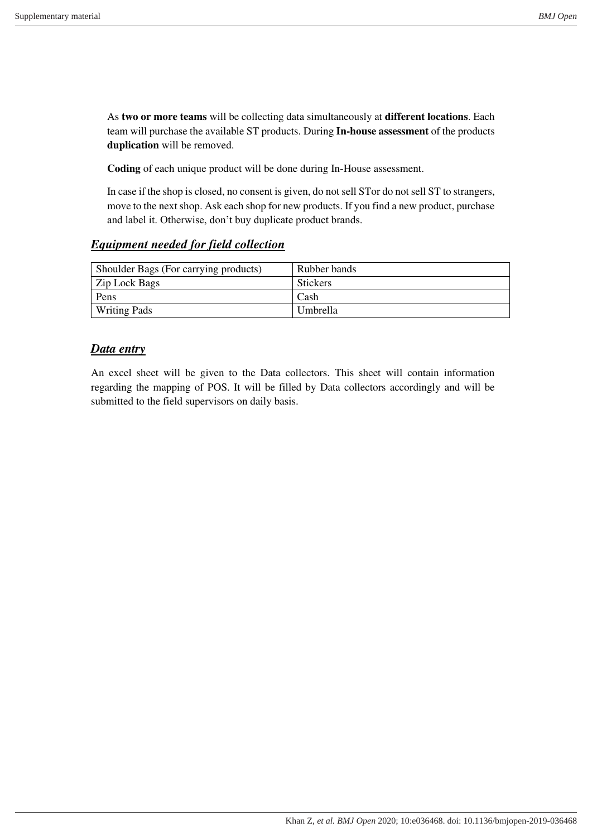As **two or more teams** will be collecting data simultaneously at **different locations**. Each team will purchase the available ST products. During **In-house assessment** of the products **duplication** will be removed.

**Coding** of each unique product will be done during In-House assessment.

In case if the shop is closed, no consent is given, do not sell STor do not sell ST to strangers, move to the next shop. Ask each shop for new products. If you find a new product, purchase and label it. Otherwise, don't buy duplicate product brands.

### *Equipment needed for field collection*

| Shoulder Bags (For carrying products) | Rubber bands    |
|---------------------------------------|-----------------|
| Zip Lock Bags                         | <b>Stickers</b> |
| Pens                                  | Cash            |
| <b>Writing Pads</b>                   | <b>Umbrella</b> |

### *Data entry*

An excel sheet will be given to the Data collectors. This sheet will contain information regarding the mapping of POS. It will be filled by Data collectors accordingly and will be submitted to the field supervisors on daily basis.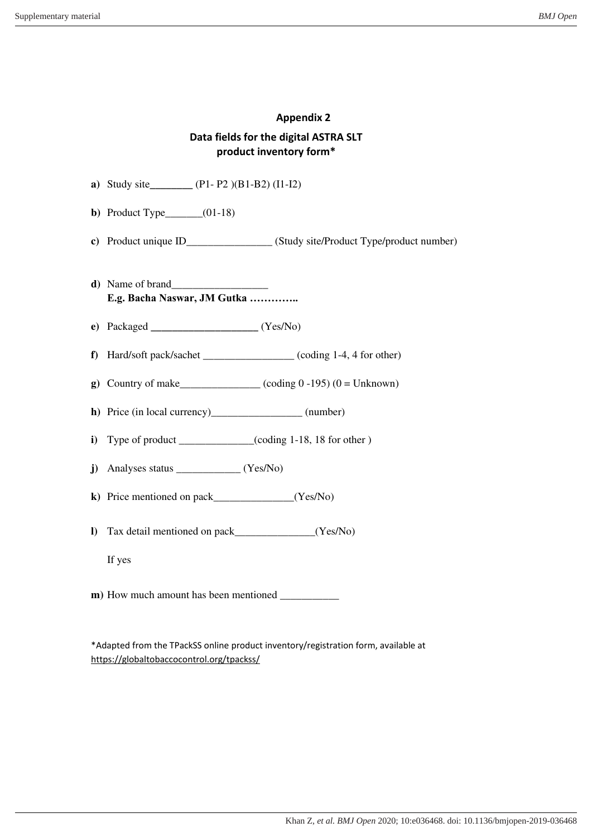### **Data fields for the digital ASTRA SLT product inventory form\***

**a)** Study site**\_\_\_\_\_\_\_\_** (P1- P2 )(B1-B2) (I1-I2) **b**) Product Type  $(01-18)$ **c)** Product unique ID\_\_\_\_\_\_\_\_\_\_\_\_\_\_\_\_ (Study site/Product Type/product number) **d**) Name of brand **E.g. Bacha Naswar, JM Gutka ………….. e)** Packaged **\_\_\_\_\_\_\_\_\_\_\_\_\_\_\_\_\_\_\_\_** (Yes/No) **f**) Hard/soft pack/sachet (coding 1-4, 4 for other) **g**) Country of make\_\_\_\_\_\_\_\_\_\_\_\_\_\_\_ (coding  $0 -195$ ) ( $0 =$  Unknown) **h)** Price (in local currency)\_\_\_\_\_\_\_\_\_\_\_\_\_\_\_\_\_ (number) **i**) Type of product \_\_\_\_\_\_\_\_\_\_\_(coding 1-18, 18 for other) **j**) Analyses status (Yes/No) **k**) Price mentioned on pack (Yes/No) **l)** Tax detail mentioned on pack\_\_\_\_\_\_\_\_\_\_\_\_\_\_\_(Yes/No) If yes **m)** How much amount has been mentioned \_\_\_\_\_\_\_\_\_\_\_

\*Adapted from the TPackSS online product inventory/registration form, available at <https://globaltobaccocontrol.org/tpackss/>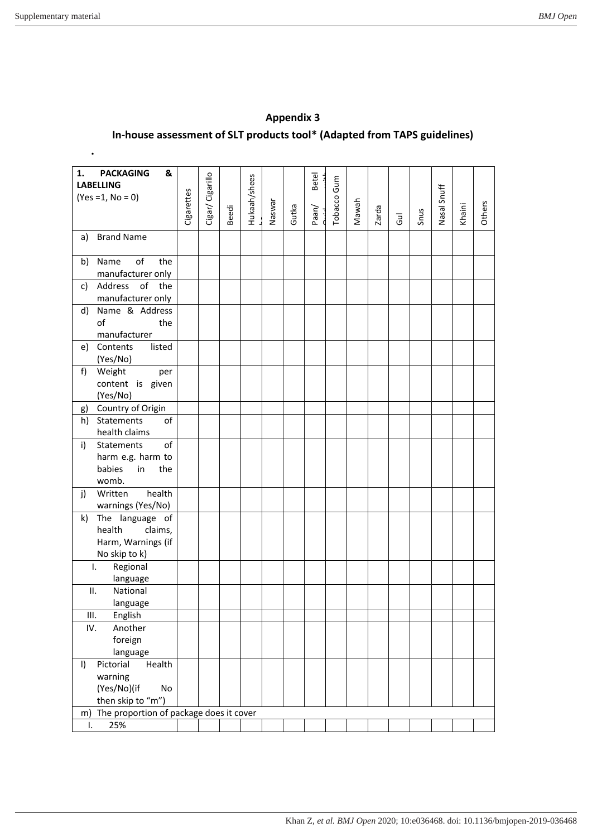| <b>PACKAGING</b><br>&<br>1.<br><b>LABELLING</b><br>$(Yes = 1, No = 0)$            | Cigarettes | Cigar/ Cigarillo | Beedi | Hukaah/shees | Naswar | Gutka | <b>Betel</b><br>Paan/ | Tobacco Gum | Mawah | Zarda | $\overline{d}$ | Snus | Nasal Snuff | Khaini | Others |
|-----------------------------------------------------------------------------------|------------|------------------|-------|--------------|--------|-------|-----------------------|-------------|-------|-------|----------------|------|-------------|--------|--------|
| <b>Brand Name</b><br>a)                                                           |            |                  |       |              |        |       |                       |             |       |       |                |      |             |        |        |
| of<br>the<br>Name<br>b)<br>manufacturer only                                      |            |                  |       |              |        |       |                       |             |       |       |                |      |             |        |        |
| Address of<br>c)<br>the<br>manufacturer only                                      |            |                  |       |              |        |       |                       |             |       |       |                |      |             |        |        |
| Name & Address<br>d)<br>of<br>the<br>manufacturer                                 |            |                  |       |              |        |       |                       |             |       |       |                |      |             |        |        |
| listed<br>Contents<br>e)<br>(Yes/No)                                              |            |                  |       |              |        |       |                       |             |       |       |                |      |             |        |        |
| Weight<br>f)<br>per<br>content is given<br>(Yes/No)                               |            |                  |       |              |        |       |                       |             |       |       |                |      |             |        |        |
| Country of Origin<br>g)                                                           |            |                  |       |              |        |       |                       |             |       |       |                |      |             |        |        |
| Statements<br>h)<br>of<br>health claims                                           |            |                  |       |              |        |       |                       |             |       |       |                |      |             |        |        |
| of<br>Statements<br>i)<br>harm e.g. harm to<br>babies<br>in<br>the<br>womb.       |            |                  |       |              |        |       |                       |             |       |       |                |      |             |        |        |
| health<br>Written<br>j)<br>warnings (Yes/No)                                      |            |                  |       |              |        |       |                       |             |       |       |                |      |             |        |        |
| The language of<br>k)<br>health<br>claims,<br>Harm, Warnings (if<br>No skip to k) |            |                  |       |              |        |       |                       |             |       |       |                |      |             |        |        |
| Regional<br>T.<br>language                                                        |            |                  |       |              |        |       |                       |             |       |       |                |      |             |        |        |
| ΙΙ.<br>National<br>language                                                       |            |                  |       |              |        |       |                       |             |       |       |                |      |             |        |        |
| English<br>Ш.                                                                     |            |                  |       |              |        |       |                       |             |       |       |                |      |             |        |        |
| IV.<br>Another                                                                    |            |                  |       |              |        |       |                       |             |       |       |                |      |             |        |        |
| foreign                                                                           |            |                  |       |              |        |       |                       |             |       |       |                |      |             |        |        |
| language                                                                          |            |                  |       |              |        |       |                       |             |       |       |                |      |             |        |        |
| Pictorial<br>Health<br>I)                                                         |            |                  |       |              |        |       |                       |             |       |       |                |      |             |        |        |
| warning                                                                           |            |                  |       |              |        |       |                       |             |       |       |                |      |             |        |        |
| (Yes/No)(if<br>No<br>then skip to "m")                                            |            |                  |       |              |        |       |                       |             |       |       |                |      |             |        |        |
| The proportion of package does it cover<br>m)                                     |            |                  |       |              |        |       |                       |             |       |       |                |      |             |        |        |
| 25%<br>Ι.                                                                         |            |                  |       |              |        |       |                       |             |       |       |                |      |             |        |        |
|                                                                                   |            |                  |       |              |        |       |                       |             |       |       |                |      |             |        |        |

## **Appendix 3 In-house assessment of SLT products tool\* (Adapted from TAPS guidelines)**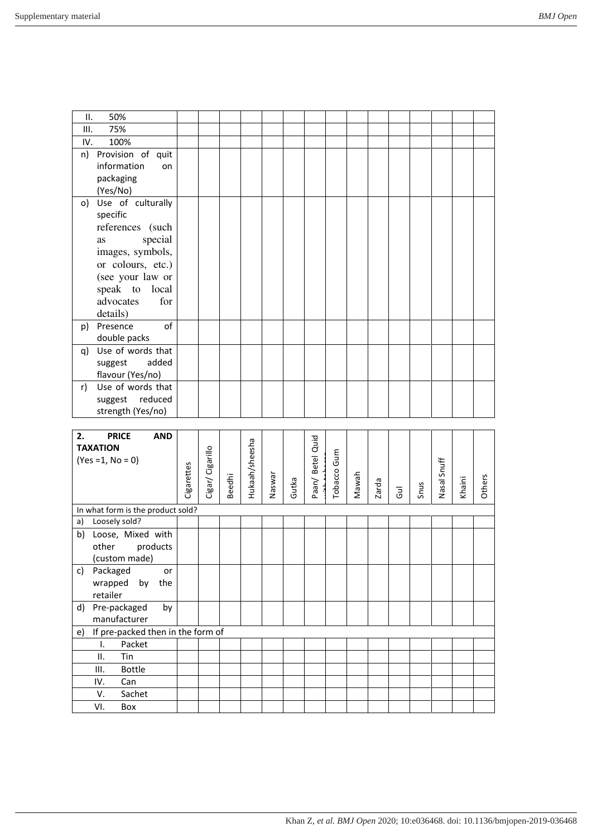| ΙΙ.                                     | 50%                                                                                                                                                 |  |  |  |  |  |  |  |  |
|-----------------------------------------|-----------------------------------------------------------------------------------------------------------------------------------------------------|--|--|--|--|--|--|--|--|
| III.                                    | 75%                                                                                                                                                 |  |  |  |  |  |  |  |  |
| IV.                                     | 100%                                                                                                                                                |  |  |  |  |  |  |  |  |
| n)<br>packaging<br>(Yes/No)             | Provision of quit<br>information<br>on                                                                                                              |  |  |  |  |  |  |  |  |
| o)<br>specific<br><b>as</b><br>details) | Use of culturally<br>references (such<br>special<br>images, symbols,<br>or colours, etc.)<br>(see your law or<br>speak to local<br>for<br>advocates |  |  |  |  |  |  |  |  |
| Presence<br>p)                          | of<br>double packs                                                                                                                                  |  |  |  |  |  |  |  |  |
| q)<br>suggest                           | Use of words that<br>added<br>flavour (Yes/no)                                                                                                      |  |  |  |  |  |  |  |  |
| r)                                      | Use of words that<br>suggest reduced<br>strength (Yes/no)                                                                                           |  |  |  |  |  |  |  |  |

| <b>AND</b><br><b>PRICE</b><br>2.<br><b>TAXATION</b><br>$(Yes = 1, No = 0)$ | Cigarettes | Cigar/ Cigarillo | <b>Beedhi</b> | Hukaah/sheesha | Naswar | Gutka | Betel Quid<br>Paan/ | Tobacco Gum | Mawah | Zarda | Gul | Snus | Nasal Snuff | Khaini | <b>Others</b> |
|----------------------------------------------------------------------------|------------|------------------|---------------|----------------|--------|-------|---------------------|-------------|-------|-------|-----|------|-------------|--------|---------------|
| In what form is the product sold?                                          |            |                  |               |                |        |       |                     |             |       |       |     |      |             |        |               |
| Loosely sold?<br>a)                                                        |            |                  |               |                |        |       |                     |             |       |       |     |      |             |        |               |
| Loose, Mixed with<br>b)<br>products<br>other<br>(custom made)              |            |                  |               |                |        |       |                     |             |       |       |     |      |             |        |               |
| Packaged<br>c)<br>or<br>wrapped<br>by<br>the<br>retailer                   |            |                  |               |                |        |       |                     |             |       |       |     |      |             |        |               |
| Pre-packaged<br>d)<br>by<br>manufacturer                                   |            |                  |               |                |        |       |                     |             |       |       |     |      |             |        |               |
| If pre-packed then in the form of<br>e)                                    |            |                  |               |                |        |       |                     |             |       |       |     |      |             |        |               |
| Packet<br>I.                                                               |            |                  |               |                |        |       |                     |             |       |       |     |      |             |        |               |
| ΙΙ.<br>Tin                                                                 |            |                  |               |                |        |       |                     |             |       |       |     |      |             |        |               |
| <b>Bottle</b><br>Ш.                                                        |            |                  |               |                |        |       |                     |             |       |       |     |      |             |        |               |
| IV.<br>Can                                                                 |            |                  |               |                |        |       |                     |             |       |       |     |      |             |        |               |
| Sachet<br>V.                                                               |            |                  |               |                |        |       |                     |             |       |       |     |      |             |        |               |
| VI.<br>Box                                                                 |            |                  |               |                |        |       |                     |             |       |       |     |      |             |        |               |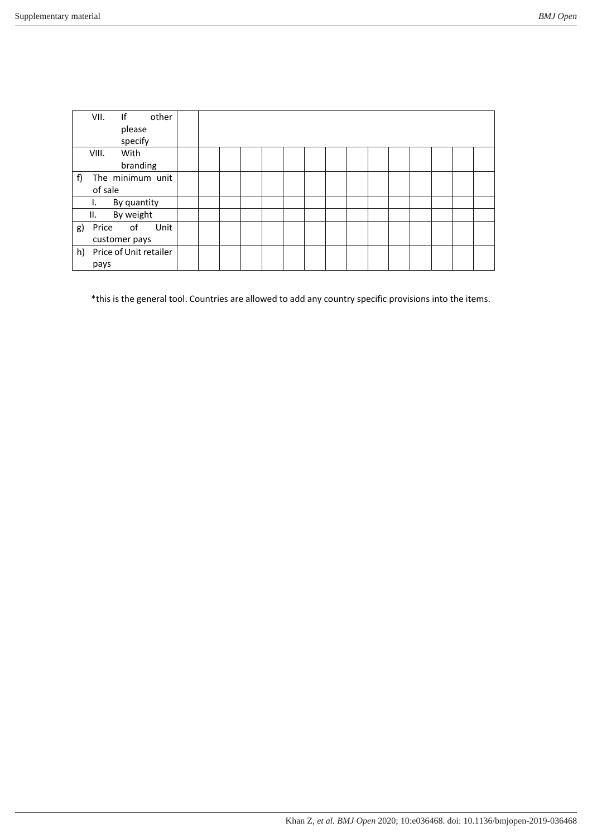| If<br>VII.<br>other<br>please<br>specify |  |  |  |  |  |  |  |
|------------------------------------------|--|--|--|--|--|--|--|
| With<br>VIII.<br>branding                |  |  |  |  |  |  |  |
| The minimum unit<br>f)<br>of sale        |  |  |  |  |  |  |  |
| By quantity<br>ı.                        |  |  |  |  |  |  |  |
| By weight<br>Ш.                          |  |  |  |  |  |  |  |
| Price of<br>Unit<br>g)<br>customer pays  |  |  |  |  |  |  |  |
| h)<br>Price of Unit retailer<br>pays     |  |  |  |  |  |  |  |

\*this is the general tool. Countries are allowed to add any country specific provisions into the items.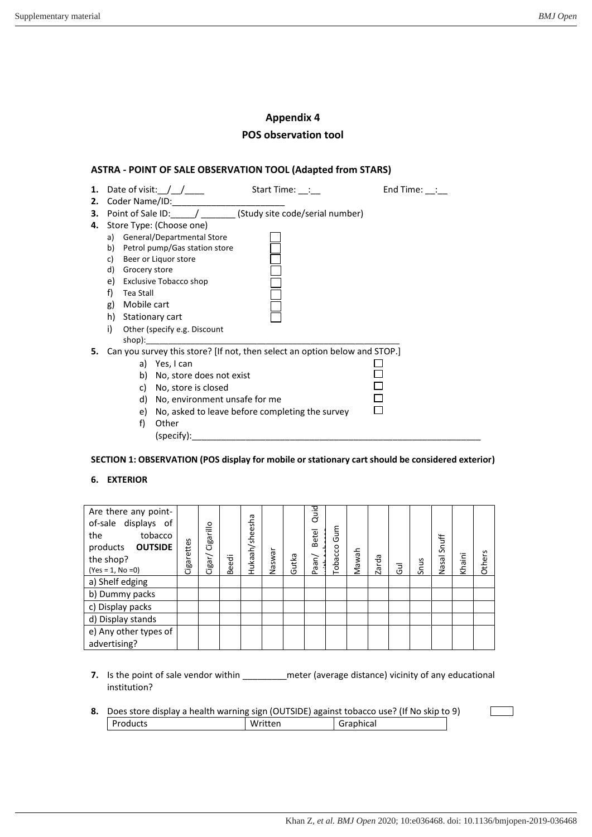## **Appendix 4 POS observation tool**

### **ASTRA - POINT OF SALE OBSERVATION TOOL (Adapted from STARS)**

| 1. | Date of visit: $/$ /<br>Start Time: :                                      | End Time: : |
|----|----------------------------------------------------------------------------|-------------|
|    |                                                                            |             |
| 3. | Point of Sale ID: / (Study site code/serial number)                        |             |
|    | 4. Store Type: (Choose one)                                                |             |
|    | General/Departmental Store<br>a)                                           |             |
|    | Petrol pump/Gas station store<br>b)                                        |             |
|    | Beer or Liquor store<br>c)                                                 |             |
|    | d)<br>Grocery store                                                        |             |
|    | e)<br>Exclusive Tobacco shop                                               |             |
|    | f)<br>Tea Stall                                                            |             |
|    | Mobile cart<br>g)                                                          |             |
|    | h)<br>Stationary cart                                                      |             |
|    | i)<br>Other (specify e.g. Discount                                         |             |
|    | shop):                                                                     |             |
| 5. | Can you survey this store? [If not, then select an option below and STOP.] |             |
|    | a) Yes, I can                                                              |             |
|    | b)<br>No, store does not exist                                             |             |
|    | No, store is closed<br>C)                                                  |             |
|    | d)<br>No, environment unsafe for me                                        |             |
|    | No, asked to leave before completing the survey<br>e)                      |             |
|    | f)<br>Other                                                                |             |
|    | (specify):                                                                 |             |

**SECTION 1: OBSERVATION (POS display for mobile or stationary cart should be considered exterior)** 

#### **6. EXTERIOR**

| Are there any point-<br>of-sale displays of<br>tobacco<br>the<br>products <b>OUTSIDE</b><br>the shop?<br>$(Yes = 1, No = 0)$ | Cigarettes | Cigarillo<br>Cigar/ | Beedi | Hukaah/sheesha | Naswar | Gutka | Quid<br><b>Betel</b><br>Paan/ | Gum<br><b>Tobacco</b> | Mawah | Zarda | $\overline{5}$ | Snus | Snuff<br>5a<br>ğ | Khaini | S<br>Others |
|------------------------------------------------------------------------------------------------------------------------------|------------|---------------------|-------|----------------|--------|-------|-------------------------------|-----------------------|-------|-------|----------------|------|------------------|--------|-------------|
| a) Shelf edging                                                                                                              |            |                     |       |                |        |       |                               |                       |       |       |                |      |                  |        |             |
| b) Dummy packs                                                                                                               |            |                     |       |                |        |       |                               |                       |       |       |                |      |                  |        |             |
| c) Display packs                                                                                                             |            |                     |       |                |        |       |                               |                       |       |       |                |      |                  |        |             |
| d) Display stands                                                                                                            |            |                     |       |                |        |       |                               |                       |       |       |                |      |                  |        |             |
| e) Any other types of<br>advertising?                                                                                        |            |                     |       |                |        |       |                               |                       |       |       |                |      |                  |        |             |

- **7.** Is the point of sale vendor within \_\_\_\_\_\_\_\_\_ meter (average distance) vicinity of any educational institution?
- **8.** Does store display a health warning sign (OUTSIDE) against tobacco use? (If No skip to 9) Products Written Graphical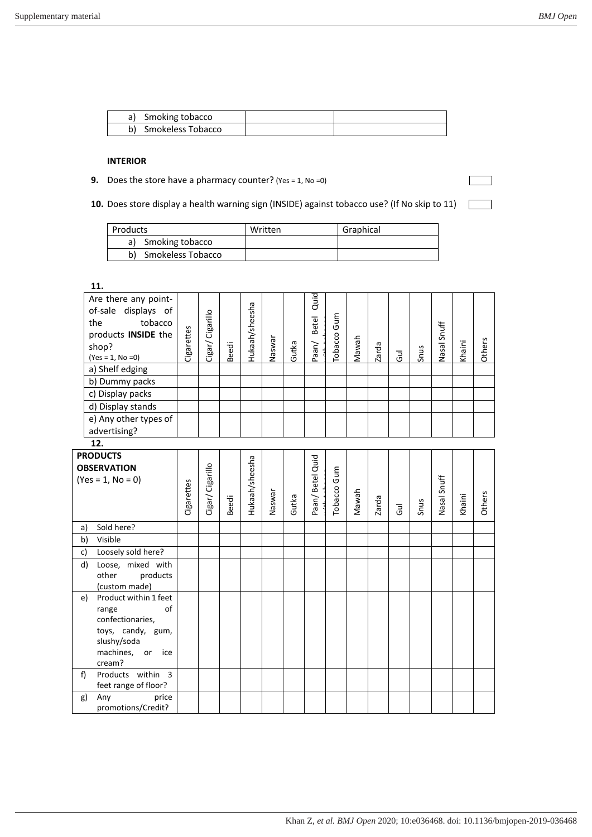$\overline{\phantom{a}}$ 

| Smoking tobacco         |  |
|-------------------------|--|
| Smokeless Tobacco<br>b) |  |

#### **INTERIOR**

- **9.** Does the store have a pharmacy counter? (Yes = 1, No = 0)
- 10. Does store display a health warning sign (INSIDE) against tobacco use? (If No skip to 11)

| Products          | Written | Graphical |
|-------------------|---------|-----------|
| Smoking tobacco   |         |           |
| Smokeless Tobacco |         |           |

|    | 11.                                                                                                                                                                                                                                         |            |                  |       |                |        |       |                     |             |       |       |                |      |             |        |        |
|----|---------------------------------------------------------------------------------------------------------------------------------------------------------------------------------------------------------------------------------------------|------------|------------------|-------|----------------|--------|-------|---------------------|-------------|-------|-------|----------------|------|-------------|--------|--------|
|    | Are there any point-<br>of-sale displays of<br>the<br>tobacco<br>products INSIDE the<br>shop?<br>$(Yes = 1, No = 0)$<br>a) Shelf edging<br>b) Dummy packs<br>c) Display packs<br>d) Display stands<br>e) Any other types of<br>advertising? | Cigarettes | Cigar/ Cigarillo | Beedi | Hukaah/sheesha | Naswar | Gutka | Quid<br>Paan/ Betel | Tobacco Gum | Nawah | Zarda | $\overline{5}$ | Snus | Nasal Snuff | Khaini | Others |
|    | 12.                                                                                                                                                                                                                                         |            |                  |       |                |        |       |                     |             |       |       |                |      |             |        |        |
|    | <b>PRODUCTS</b><br><b>OBSERVATION</b><br>$(Yes = 1, No = 0)$                                                                                                                                                                                | Cigarettes | Cigar/ Cigarillo | Beedi | Hukaah/sheesha | Naswar | Gutka | Paan/ Betel Quid    | Tobacco Gum | Mawah | Zarda | Gul            | Snus | Nasal Snuff | Khaini | Others |
| a) | Sold here?                                                                                                                                                                                                                                  |            |                  |       |                |        |       |                     |             |       |       |                |      |             |        |        |
| b) | Visible                                                                                                                                                                                                                                     |            |                  |       |                |        |       |                     |             |       |       |                |      |             |        |        |
| c) | Loosely sold here?                                                                                                                                                                                                                          |            |                  |       |                |        |       |                     |             |       |       |                |      |             |        |        |
| d) | Loose, mixed with<br>other<br>products<br>(custom made)                                                                                                                                                                                     |            |                  |       |                |        |       |                     |             |       |       |                |      |             |        |        |
| e) | Product within 1 feet<br>of<br>range<br>confectionaries,<br>toys, candy, gum,<br>slushy/soda<br>machines, or<br>ice<br>cream?                                                                                                               |            |                  |       |                |        |       |                     |             |       |       |                |      |             |        |        |
| f) | Products within 3                                                                                                                                                                                                                           |            |                  |       |                |        |       |                     |             |       |       |                |      |             |        |        |
|    | feet range of floor?<br>price                                                                                                                                                                                                               |            |                  |       |                |        |       |                     |             |       |       |                |      |             |        |        |
| g) | Any<br>promotions/Credit?                                                                                                                                                                                                                   |            |                  |       |                |        |       |                     |             |       |       |                |      |             |        |        |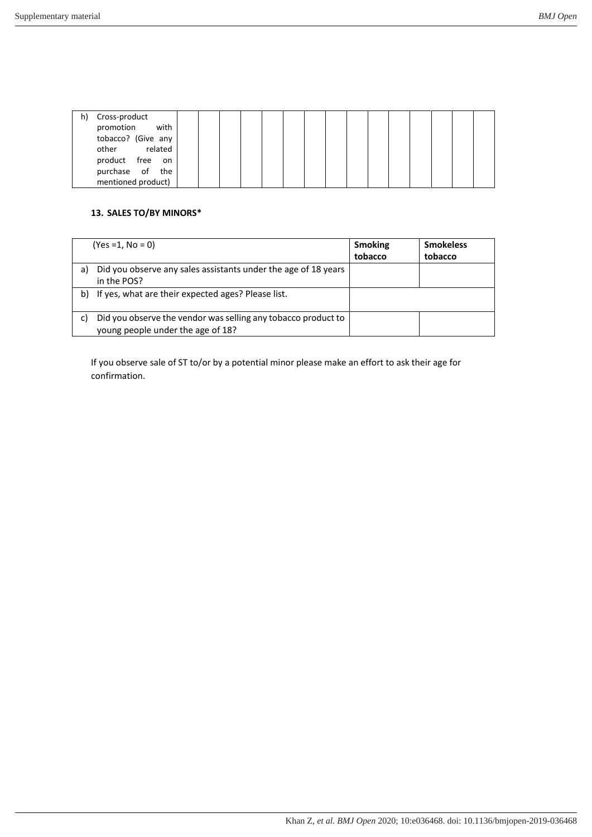|  | h) Cross-product<br>promotion with<br>tobacco? (Give any<br>related<br>other<br>product free<br>on<br>purchase of the<br>mentioned product) |  |  |  |  |  |  |  |  |  |  |  |  |  |  |
|--|---------------------------------------------------------------------------------------------------------------------------------------------|--|--|--|--|--|--|--|--|--|--|--|--|--|--|
|--|---------------------------------------------------------------------------------------------------------------------------------------------|--|--|--|--|--|--|--|--|--|--|--|--|--|--|

### **13. SALES TO/BY MINORS\***

|    | $(Yes = 1, No = 0)$                                                                                | <b>Smoking</b><br>tobacco | <b>Smokeless</b><br>tobacco |
|----|----------------------------------------------------------------------------------------------------|---------------------------|-----------------------------|
| a) | Did you observe any sales assistants under the age of 18 years<br>in the POS?                      |                           |                             |
| b) | If yes, what are their expected ages? Please list.                                                 |                           |                             |
|    | Did you observe the vendor was selling any tobacco product to<br>young people under the age of 18? |                           |                             |

If you observe sale of ST to/or by a potential minor please make an effort to ask their age for confirmation.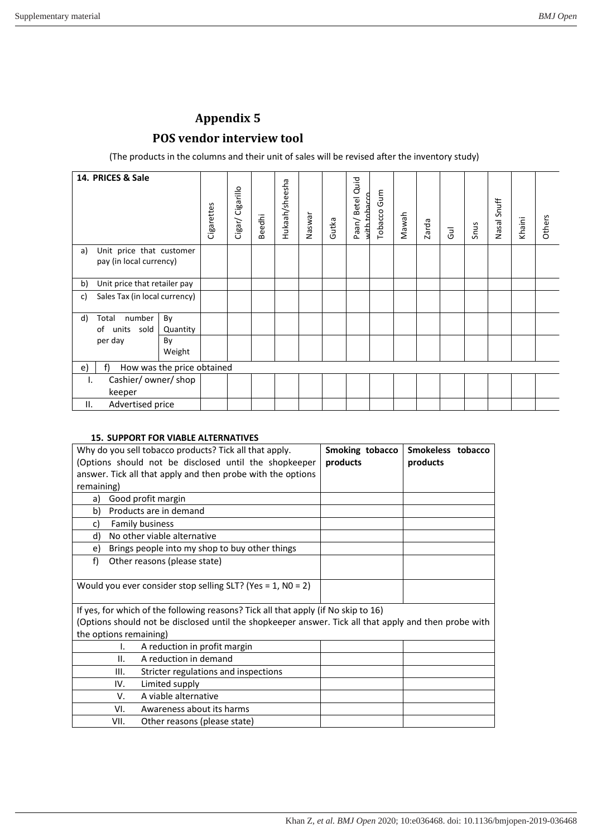## **POS vendor interview tool**

(The products in the columns and their unit of sales will be revised after the inventory study)

| 14. PRICES & Sale                                           | Cigarettes                 | Cigarillo<br>Cigar/ | <b>Beedhi</b> | Hukaah/sheesha | Naswar | Gutka | Paan/Betel Quid<br>with tobacco | Tobacco Gum | Mawah | Zarda | Gul | Snus | Nasal Snuff | Khaini | Others |
|-------------------------------------------------------------|----------------------------|---------------------|---------------|----------------|--------|-------|---------------------------------|-------------|-------|-------|-----|------|-------------|--------|--------|
| Unit price that customer<br>a)<br>pay (in local currency)   |                            |                     |               |                |        |       |                                 |             |       |       |     |      |             |        |        |
| Unit price that retailer pay<br>b)                          |                            |                     |               |                |        |       |                                 |             |       |       |     |      |             |        |        |
| Sales Tax (in local currency)<br>c)                         |                            |                     |               |                |        |       |                                 |             |       |       |     |      |             |        |        |
| number<br>d)<br>By<br>Total<br>units sold<br>Quantity<br>of |                            |                     |               |                |        |       |                                 |             |       |       |     |      |             |        |        |
| per day<br>By<br>Weight                                     |                            |                     |               |                |        |       |                                 |             |       |       |     |      |             |        |        |
| f<br>e)                                                     | How was the price obtained |                     |               |                |        |       |                                 |             |       |       |     |      |             |        |        |
| Cashier/owner/shop<br>ı.<br>keeper                          |                            |                     |               |                |        |       |                                 |             |       |       |     |      |             |        |        |
| Advertised price<br>ΙΙ.                                     |                            |                     |               |                |        |       |                                 |             |       |       |     |      |             |        |        |

#### **15. SUPPORT FOR VIABLE ALTERNATIVES**

| Why do you sell tobacco products? Tick all that apply.<br>Smoking tobacco<br>Smokeless tobacco<br>(Options should not be disclosed until the shopkeeper<br>products<br>products<br>answer. Tick all that apply and then probe with the options<br>remaining) |                                                                                                       |  |  |  |  |  |  |  |  |  |
|--------------------------------------------------------------------------------------------------------------------------------------------------------------------------------------------------------------------------------------------------------------|-------------------------------------------------------------------------------------------------------|--|--|--|--|--|--|--|--|--|
| a)                                                                                                                                                                                                                                                           | Good profit margin                                                                                    |  |  |  |  |  |  |  |  |  |
| b)                                                                                                                                                                                                                                                           | Products are in demand                                                                                |  |  |  |  |  |  |  |  |  |
| c)                                                                                                                                                                                                                                                           | <b>Family business</b>                                                                                |  |  |  |  |  |  |  |  |  |
| d)                                                                                                                                                                                                                                                           | No other viable alternative                                                                           |  |  |  |  |  |  |  |  |  |
| e)                                                                                                                                                                                                                                                           | Brings people into my shop to buy other things                                                        |  |  |  |  |  |  |  |  |  |
| f)<br>Other reasons (please state)                                                                                                                                                                                                                           |                                                                                                       |  |  |  |  |  |  |  |  |  |
|                                                                                                                                                                                                                                                              | Would you ever consider stop selling SLT? (Yes = 1, NO = 2)                                           |  |  |  |  |  |  |  |  |  |
|                                                                                                                                                                                                                                                              | If yes, for which of the following reasons? Tick all that apply (if No skip to 16)                    |  |  |  |  |  |  |  |  |  |
|                                                                                                                                                                                                                                                              | (Options should not be disclosed until the shopkeeper answer. Tick all that apply and then probe with |  |  |  |  |  |  |  |  |  |
| the options remaining)                                                                                                                                                                                                                                       |                                                                                                       |  |  |  |  |  |  |  |  |  |
| I.                                                                                                                                                                                                                                                           | A reduction in profit margin                                                                          |  |  |  |  |  |  |  |  |  |
| II.                                                                                                                                                                                                                                                          | A reduction in demand                                                                                 |  |  |  |  |  |  |  |  |  |
| Ш.                                                                                                                                                                                                                                                           | Stricter regulations and inspections                                                                  |  |  |  |  |  |  |  |  |  |
| IV.                                                                                                                                                                                                                                                          | Limited supply                                                                                        |  |  |  |  |  |  |  |  |  |
| V.                                                                                                                                                                                                                                                           | A viable alternative                                                                                  |  |  |  |  |  |  |  |  |  |
| Awareness about its harms<br>VI.                                                                                                                                                                                                                             |                                                                                                       |  |  |  |  |  |  |  |  |  |
| VII.                                                                                                                                                                                                                                                         | Other reasons (please state)                                                                          |  |  |  |  |  |  |  |  |  |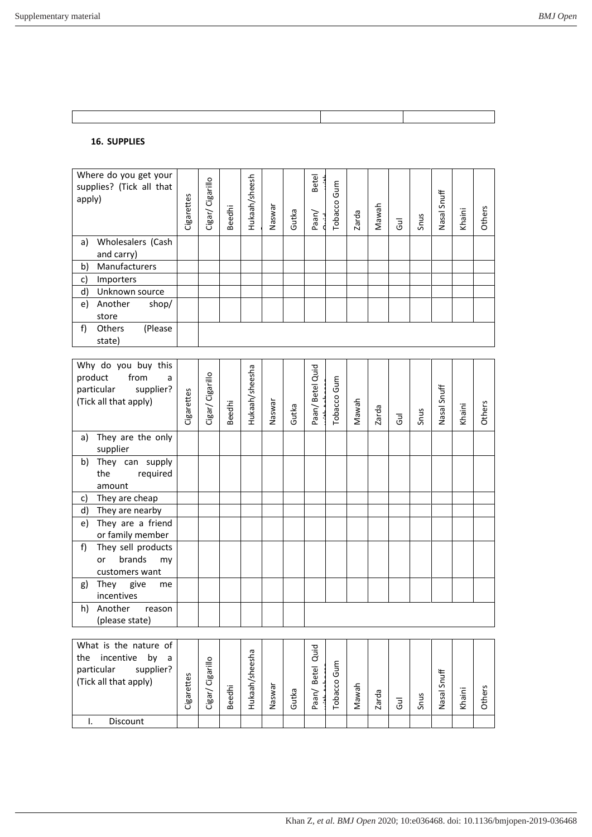# **16. SUPPLIES**

| apply) | Where do you get your<br>supplies? (Tick all that |         | Cigarettes | Cigar/ Cigarillo | <b>Beedhi</b> | Hukaah/sheesh | Naswar | Gutka | <b>Betel</b><br>Paan/ | Gum<br>Tobacco | Zarda | Nawah | $\overline{5}$ | Snus | Snuff<br>Nasal | Khaini | Others |
|--------|---------------------------------------------------|---------|------------|------------------|---------------|---------------|--------|-------|-----------------------|----------------|-------|-------|----------------|------|----------------|--------|--------|
| a)     | Wholesalers (Cash                                 |         |            |                  |               |               |        |       |                       |                |       |       |                |      |                |        |        |
|        | and carry)                                        |         |            |                  |               |               |        |       |                       |                |       |       |                |      |                |        |        |
| b)     | Manufacturers                                     |         |            |                  |               |               |        |       |                       |                |       |       |                |      |                |        |        |
| c)     | Importers                                         |         |            |                  |               |               |        |       |                       |                |       |       |                |      |                |        |        |
| d)     | Unknown source                                    |         |            |                  |               |               |        |       |                       |                |       |       |                |      |                |        |        |
| e)     | Another                                           | shop/   |            |                  |               |               |        |       |                       |                |       |       |                |      |                |        |        |
|        | store                                             |         |            |                  |               |               |        |       |                       |                |       |       |                |      |                |        |        |
| f)     | <b>Others</b><br>state)                           | (Please |            |                  |               |               |        |       |                       |                |       |       |                |      |                |        |        |

| Why do you buy this<br>product<br>from<br>a<br>particular supplier?<br>(Tick all that apply) | Cigarettes | Cigar/ Cigarillo | <b>Beedhi</b> | Hukaah/sheesha | Naswar | Gutka | Paan/Betel Quid     | Tobacco Gum | Mawah | Zarda | $\overline{d}$ | Snus | Nasal Snuff | Khaini | Others |
|----------------------------------------------------------------------------------------------|------------|------------------|---------------|----------------|--------|-------|---------------------|-------------|-------|-------|----------------|------|-------------|--------|--------|
| They are the only<br>a)<br>supplier                                                          |            |                  |               |                |        |       |                     |             |       |       |                |      |             |        |        |
| They can supply<br>b)<br>the<br>required<br>amount                                           |            |                  |               |                |        |       |                     |             |       |       |                |      |             |        |        |
| They are cheap<br>c)                                                                         |            |                  |               |                |        |       |                     |             |       |       |                |      |             |        |        |
| They are nearby<br>d)                                                                        |            |                  |               |                |        |       |                     |             |       |       |                |      |             |        |        |
| They are a friend<br>e)<br>or family member                                                  |            |                  |               |                |        |       |                     |             |       |       |                |      |             |        |        |
| f)<br>They sell products<br>brands<br>or<br>my<br>customers want                             |            |                  |               |                |        |       |                     |             |       |       |                |      |             |        |        |
| They give<br>g)<br>me<br>incentives                                                          |            |                  |               |                |        |       |                     |             |       |       |                |      |             |        |        |
| h)<br>Another<br>reason<br>(please state)                                                    |            |                  |               |                |        |       |                     |             |       |       |                |      |             |        |        |
| What is the nature of<br>the incentive<br>by<br>a                                            |            |                  |               |                |        |       |                     |             |       |       |                |      |             |        |        |
| particular<br>supplier?<br>(Tick all that apply)                                             | Cigarettes | Cigar/ Cigarillo | <b>Beedhi</b> | Hukaah/sheesha | Naswar | Gutka | Betel Quid<br>Paan/ | Tobacco Gum | Mawah | Zarda | $\overline{d}$ | Snus | Nasal Snuff | Khaini | Others |
| $\mathsf{L}$<br>Discount                                                                     |            |                  |               |                |        |       |                     |             |       |       |                |      |             |        |        |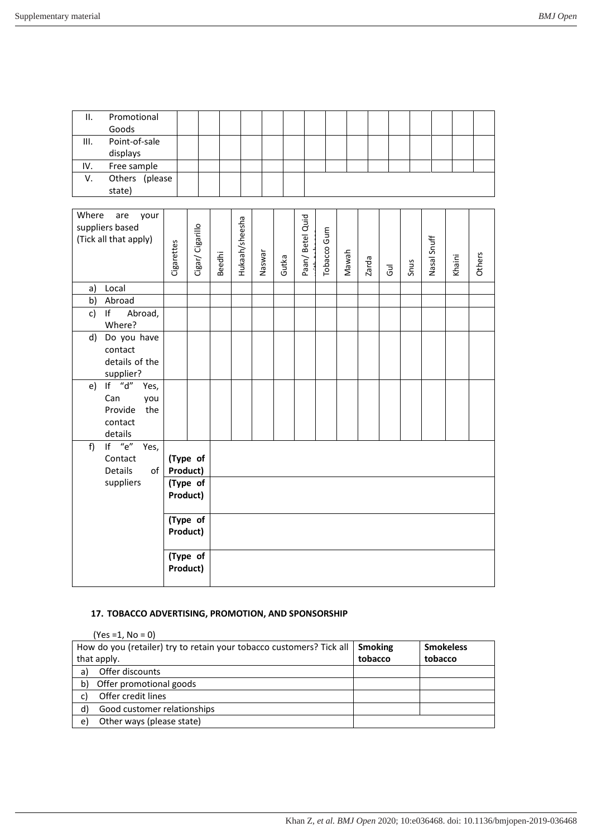| П.       | Promotional<br>Goods  |            |                  |               |                |        |       |                  |             |       |       |            |      |             |        |        |
|----------|-----------------------|------------|------------------|---------------|----------------|--------|-------|------------------|-------------|-------|-------|------------|------|-------------|--------|--------|
| III.     | Point-of-sale         |            |                  |               |                |        |       |                  |             |       |       |            |      |             |        |        |
|          | displays              |            |                  |               |                |        |       |                  |             |       |       |            |      |             |        |        |
| IV.      | Free sample           |            |                  |               |                |        |       |                  |             |       |       |            |      |             |        |        |
| V.       | Others (please        |            |                  |               |                |        |       |                  |             |       |       |            |      |             |        |        |
|          | state)                |            |                  |               |                |        |       |                  |             |       |       |            |      |             |        |        |
|          |                       |            |                  |               |                |        |       |                  |             |       |       |            |      |             |        |        |
| Where    | are<br>your           |            |                  |               |                |        |       |                  |             |       |       |            |      |             |        |        |
|          | suppliers based       |            |                  |               |                |        |       |                  |             |       |       |            |      |             |        |        |
|          | (Tick all that apply) |            |                  |               |                |        |       |                  |             |       |       |            |      |             |        |        |
|          |                       |            |                  |               |                |        |       |                  |             |       |       |            |      |             |        |        |
|          |                       | Cigarettes | Cigar/ Cigarillo | <b>Beedhi</b> | Hukaah/sheesha | Naswar | Gutka | Paan/ Betel Quid | Tobacco Gum | Mawah | Zarda | <b>Gul</b> | Snus | Nasal Snuff | Khaini | Others |
|          |                       |            |                  |               |                |        |       |                  |             |       |       |            |      |             |        |        |
| a)       | Local                 |            |                  |               |                |        |       |                  |             |       |       |            |      |             |        |        |
| b)       | Abroad<br>If          |            |                  |               |                |        |       |                  |             |       |       |            |      |             |        |        |
| c)       | Abroad,<br>Where?     |            |                  |               |                |        |       |                  |             |       |       |            |      |             |        |        |
|          | d) Do you have        |            |                  |               |                |        |       |                  |             |       |       |            |      |             |        |        |
|          | contact               |            |                  |               |                |        |       |                  |             |       |       |            |      |             |        |        |
|          | details of the        |            |                  |               |                |        |       |                  |             |       |       |            |      |             |        |        |
|          | supplier?             |            |                  |               |                |        |       |                  |             |       |       |            |      |             |        |        |
| e)       | If $"d"$<br>Yes,      |            |                  |               |                |        |       |                  |             |       |       |            |      |             |        |        |
|          | Can<br>you            |            |                  |               |                |        |       |                  |             |       |       |            |      |             |        |        |
|          | Provide<br>the        |            |                  |               |                |        |       |                  |             |       |       |            |      |             |        |        |
|          | contact               |            |                  |               |                |        |       |                  |             |       |       |            |      |             |        |        |
|          | details               |            |                  |               |                |        |       |                  |             |       |       |            |      |             |        |        |
| f)       | If $"e"$<br>Yes,      |            |                  |               |                |        |       |                  |             |       |       |            |      |             |        |        |
|          | Contact               |            | (Type of         |               |                |        |       |                  |             |       |       |            |      |             |        |        |
|          | Details<br>of         | Product)   |                  |               |                |        |       |                  |             |       |       |            |      |             |        |        |
|          | suppliers             |            | (Type of         |               |                |        |       |                  |             |       |       |            |      |             |        |        |
|          |                       | Product)   |                  |               |                |        |       |                  |             |       |       |            |      |             |        |        |
|          |                       |            | (Type of         |               |                |        |       |                  |             |       |       |            |      |             |        |        |
| Product) |                       |            |                  |               |                |        |       |                  |             |       |       |            |      |             |        |        |
|          |                       |            | (Type of         |               |                |        |       |                  |             |       |       |            |      |             |        |        |
|          |                       | Product)   |                  |               |                |        |       |                  |             |       |       |            |      |             |        |        |
|          |                       |            |                  |               |                |        |       |                  |             |       |       |            |      |             |        |        |

## **17. TOBACCO ADVERTISING, PROMOTION, AND SPONSORSHIP**

|    | $(Yes = 1, No = 0)$                                                  |                |                  |
|----|----------------------------------------------------------------------|----------------|------------------|
|    | How do you (retailer) try to retain your tobacco customers? Tick all | <b>Smoking</b> | <b>Smokeless</b> |
|    | that apply.                                                          | tobacco        | tobacco          |
| a) | Offer discounts                                                      |                |                  |
| b) | Offer promotional goods                                              |                |                  |
| C) | Offer credit lines                                                   |                |                  |
| d) | Good customer relationships                                          |                |                  |
| e) | Other ways (please state)                                            |                |                  |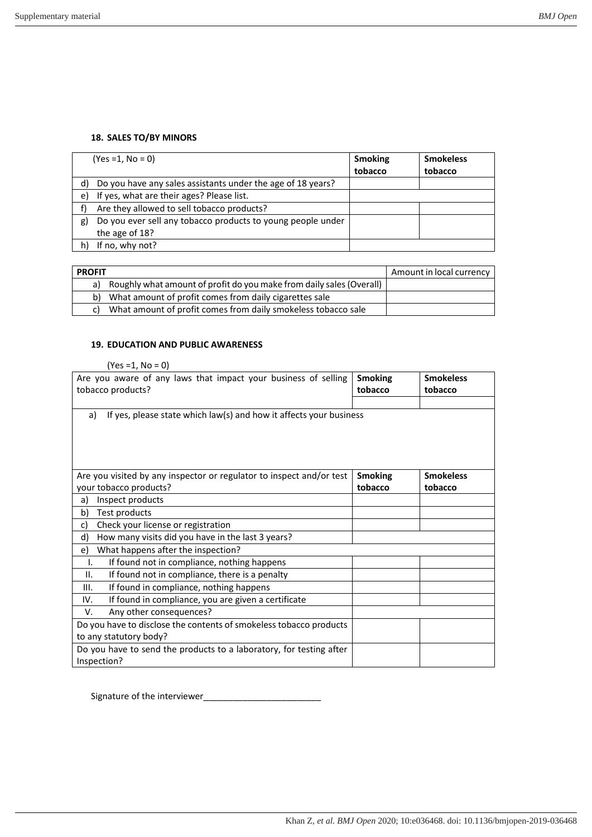### **18. SALES TO/BY MINORS**

|    | $(Yes = 1, No = 0)$                                         | <b>Smoking</b><br>tobacco | <b>Smokeless</b><br>tobacco |
|----|-------------------------------------------------------------|---------------------------|-----------------------------|
| d) | Do you have any sales assistants under the age of 18 years? |                           |                             |
| e) | If yes, what are their ages? Please list.                   |                           |                             |
|    | Are they allowed to sell tobacco products?                  |                           |                             |
| g) | Do you ever sell any tobacco products to young people under |                           |                             |
|    | the age of 18?                                              |                           |                             |
|    | If no, why not?                                             |                           |                             |

| <b>PROFIT</b> |                                                                      | Amount in local currency |
|---------------|----------------------------------------------------------------------|--------------------------|
| a)            | Roughly what amount of profit do you make from daily sales (Overall) |                          |
|               | b) What amount of profit comes from daily cigarettes sale            |                          |
|               | What amount of profit comes from daily smokeless tobacco sale        |                          |

#### **19. EDUCATION AND PUBLIC AWARENESS**

| $(Yes = 1, No = 0)$                                                      |                |                  |  |  |  |  |  |  |  |  |
|--------------------------------------------------------------------------|----------------|------------------|--|--|--|--|--|--|--|--|
| Are you aware of any laws that impact your business of selling           | <b>Smoking</b> | <b>Smokeless</b> |  |  |  |  |  |  |  |  |
| tobacco products?                                                        | tobacco        | tobacco          |  |  |  |  |  |  |  |  |
|                                                                          |                |                  |  |  |  |  |  |  |  |  |
| If yes, please state which law(s) and how it affects your business<br>a) |                |                  |  |  |  |  |  |  |  |  |
|                                                                          |                |                  |  |  |  |  |  |  |  |  |
|                                                                          |                |                  |  |  |  |  |  |  |  |  |
|                                                                          |                |                  |  |  |  |  |  |  |  |  |
|                                                                          |                |                  |  |  |  |  |  |  |  |  |
| Are you visited by any inspector or regulator to inspect and/or test     | <b>Smoking</b> | <b>Smokeless</b> |  |  |  |  |  |  |  |  |
| your tobacco products?                                                   | tobacco        | tobacco          |  |  |  |  |  |  |  |  |
| Inspect products<br>a)                                                   |                |                  |  |  |  |  |  |  |  |  |
| Test products<br>b)                                                      |                |                  |  |  |  |  |  |  |  |  |
| Check your license or registration<br>c)                                 |                |                  |  |  |  |  |  |  |  |  |
| How many visits did you have in the last 3 years?<br>d)                  |                |                  |  |  |  |  |  |  |  |  |
| What happens after the inspection?<br>e)                                 |                |                  |  |  |  |  |  |  |  |  |
| If found not in compliance, nothing happens<br>Ι.                        |                |                  |  |  |  |  |  |  |  |  |
| If found not in compliance, there is a penalty<br>ΙΙ.                    |                |                  |  |  |  |  |  |  |  |  |
| If found in compliance, nothing happens<br>Ш.                            |                |                  |  |  |  |  |  |  |  |  |
| If found in compliance, you are given a certificate<br>IV.               |                |                  |  |  |  |  |  |  |  |  |
| Any other consequences?<br>v.                                            |                |                  |  |  |  |  |  |  |  |  |
| Do you have to disclose the contents of smokeless tobacco products       |                |                  |  |  |  |  |  |  |  |  |
| to any statutory body?                                                   |                |                  |  |  |  |  |  |  |  |  |
| Do you have to send the products to a laboratory, for testing after      |                |                  |  |  |  |  |  |  |  |  |
| Inspection?                                                              |                |                  |  |  |  |  |  |  |  |  |

Signature of the interviewer\_\_\_\_\_\_\_\_\_\_\_\_\_\_\_\_\_\_\_\_\_\_\_\_